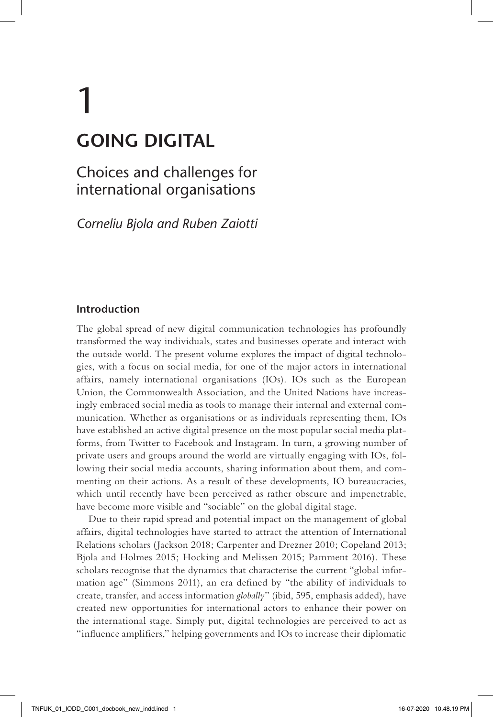# 1 **GOING DIGITAL**

# Choices and challenges for international organisations

*Corneliu Bjola and Ruben Zaiotti*

# **Introduction**

The global spread of new digital communication technologies has profoundly transformed the way individuals, states and businesses operate and interact with the outside world. The present volume explores the impact of digital technologies, with a focus on social media, for one of the major actors in international affairs, namely international organisations (IOs). IOs such as the European Union, the Commonwealth Association, and the United Nations have increasingly embraced social media as tools to manage their internal and external communication. Whether as organisations or as individuals representing them, IOs have established an active digital presence on the most popular social media platforms, from Twitter to Facebook and Instagram. In turn, a growing number of private users and groups around the world are virtually engaging with IOs, following their social media accounts, sharing information about them, and commenting on their actions. As a result of these developments, IO bureaucracies, which until recently have been perceived as rather obscure and impenetrable, have become more visible and "sociable" on the global digital stage.

Due to their rapid spread and potential impact on the management of global affairs, digital technologies have started to attract the attention of International Relations scholars (Jackson 2018; Carpenter and Drezner 2010; Copeland 2013; Bjola and Holmes 2015; Hocking and Melissen 2015; Pamment 2016). These scholars recognise that the dynamics that characterise the current "global information age" (Simmons 2011), an era defined by "the ability of individuals to create, transfer, and access information *globally*" (ibid, 595, emphasis added), have created new opportunities for international actors to enhance their power on the international stage. Simply put, digital technologies are perceived to act as "influence amplifiers," helping governments and IOs to increase their diplomatic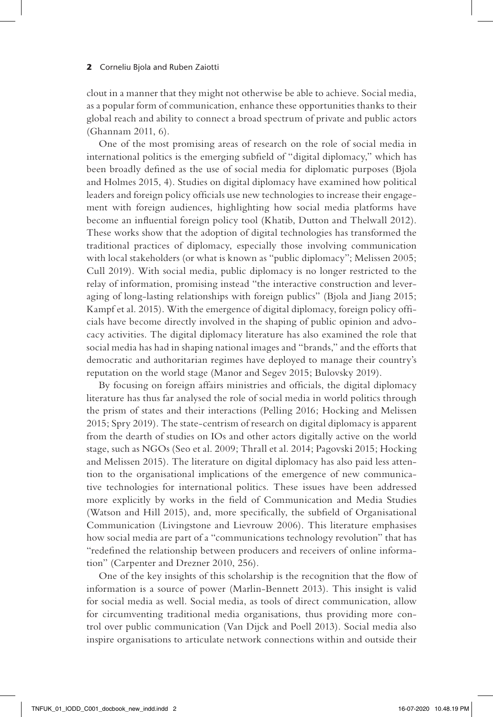clout in a manner that they might not otherwise be able to achieve. Social media, as a popular form of communication, enhance these opportunities thanks to their global reach and ability to connect a broad spectrum of private and public actors (Ghannam 2011, 6).

One of the most promising areas of research on the role of social media in international politics is the emerging subfield of "digital diplomacy," which has been broadly defined as the use of social media for diplomatic purposes (Bjola and Holmes 2015, 4). Studies on digital diplomacy have examined how political leaders and foreign policy officials use new technologies to increase their engagement with foreign audiences, highlighting how social media platforms have become an influential foreign policy tool (Khatib, Dutton and Thelwall 2012). These works show that the adoption of digital technologies has transformed the traditional practices of diplomacy, especially those involving communication with local stakeholders (or what is known as "public diplomacy"; Melissen 2005; Cull 2019). With social media, public diplomacy is no longer restricted to the relay of information, promising instead "the interactive construction and leveraging of long-lasting relationships with foreign publics" (Bjola and Jiang 2015; Kampf et al. 2015). With the emergence of digital diplomacy, foreign policy officials have become directly involved in the shaping of public opinion and advocacy activities. The digital diplomacy literature has also examined the role that social media has had in shaping national images and "brands," and the efforts that democratic and authoritarian regimes have deployed to manage their country's reputation on the world stage (Manor and Segev 2015; Bulovsky 2019).

By focusing on foreign affairs ministries and officials, the digital diplomacy literature has thus far analysed the role of social media in world politics through the prism of states and their interactions (Pelling 2016; Hocking and Melissen 2015; Spry 2019). The state-centrism of research on digital diplomacy is apparent from the dearth of studies on IOs and other actors digitally active on the world stage, such as NGOs (Seo et al. 2009; Thrall et al. 2014; Pagovski 2015; Hocking and Melissen 2015). The literature on digital diplomacy has also paid less attention to the organisational implications of the emergence of new communicative technologies for international politics. These issues have been addressed more explicitly by works in the field of Communication and Media Studies (Watson and Hill 2015), and, more specifically, the subfield of Organisational Communication (Livingstone and Lievrouw 2006). This literature emphasises how social media are part of a "communications technology revolution" that has "redefined the relationship between producers and receivers of online information" (Carpenter and Drezner 2010, 256).

One of the key insights of this scholarship is the recognition that the flow of information is a source of power (Marlin-Bennett 2013). This insight is valid for social media as well. Social media, as tools of direct communication, allow for circumventing traditional media organisations, thus providing more control over public communication (Van Dijck and Poell 2013). Social media also inspire organisations to articulate network connections within and outside their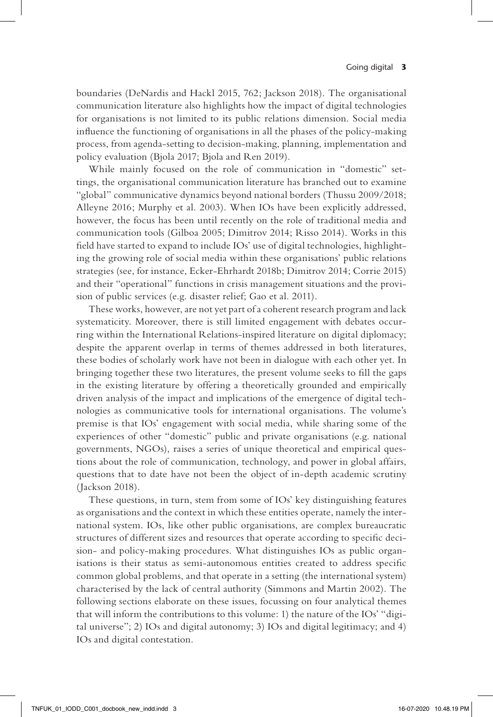boundaries (DeNardis and Hackl 2015, 762; Jackson 2018). The organisational communication literature also highlights how the impact of digital technologies for organisations is not limited to its public relations dimension. Social media influence the functioning of organisations in all the phases of the policy-making process, from agenda-setting to decision-making, planning, implementation and policy evaluation (Bjola 2017; Bjola and Ren 2019).

While mainly focused on the role of communication in "domestic" settings, the organisational communication literature has branched out to examine "global" communicative dynamics beyond national borders (Thussu 2009/2018; Alleyne 2016; Murphy et al. 2003). When IOs have been explicitly addressed, however, the focus has been until recently on the role of traditional media and communication tools (Gilboa 2005; Dimitrov 2014; Risso 2014). Works in this field have started to expand to include IOs' use of digital technologies, highlighting the growing role of social media within these organisations' public relations strategies (see, for instance, Ecker-Ehrhardt 2018b; Dimitrov 2014; Corrie 2015) and their "operational" functions in crisis management situations and the provision of public services (e.g. disaster relief; Gao et al. 2011).

These works, however, are not yet part of a coherent research program and lack systematicity. Moreover, there is still limited engagement with debates occurring within the International Relations-inspired literature on digital diplomacy; despite the apparent overlap in terms of themes addressed in both literatures, these bodies of scholarly work have not been in dialogue with each other yet. In bringing together these two literatures, the present volume seeks to fill the gaps in the existing literature by offering a theoretically grounded and empirically driven analysis of the impact and implications of the emergence of digital technologies as communicative tools for international organisations. The volume's premise is that IOs' engagement with social media, while sharing some of the experiences of other "domestic" public and private organisations (e.g. national governments, NGOs), raises a series of unique theoretical and empirical questions about the role of communication, technology, and power in global affairs, questions that to date have not been the object of in-depth academic scrutiny (Jackson 2018).

These questions, in turn, stem from some of IOs' key distinguishing features as organisations and the context in which these entities operate, namely the international system. IOs, like other public organisations, are complex bureaucratic structures of different sizes and resources that operate according to specific decision- and policy-making procedures. What distinguishes IOs as public organisations is their status as semi-autonomous entities created to address specific common global problems, and that operate in a setting (the international system) characterised by the lack of central authority (Simmons and Martin 2002). The following sections elaborate on these issues, focussing on four analytical themes that will inform the contributions to this volume: 1) the nature of the IOs' "digital universe"; 2) IOs and digital autonomy; 3) IOs and digital legitimacy; and 4) IOs and digital contestation.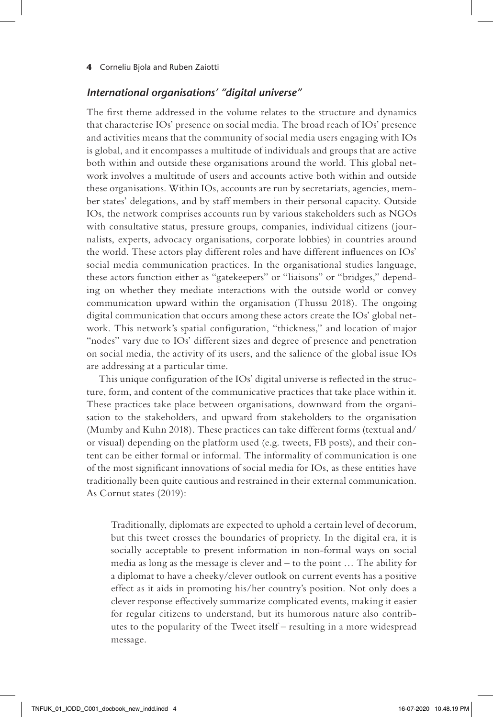### *International organisations' "digital universe"*

The first theme addressed in the volume relates to the structure and dynamics that characterise IOs' presence on social media. The broad reach of IOs' presence and activities means that the community of social media users engaging with IOs is global, and it encompasses a multitude of individuals and groups that are active both within and outside these organisations around the world. This global network involves a multitude of users and accounts active both within and outside these organisations. Within IOs, accounts are run by secretariats, agencies, member states' delegations, and by staff members in their personal capacity. Outside IOs, the network comprises accounts run by various stakeholders such as NGOs with consultative status, pressure groups, companies, individual citizens (journalists, experts, advocacy organisations, corporate lobbies) in countries around the world. These actors play different roles and have different influences on IOs' social media communication practices. In the organisational studies language, these actors function either as "gatekeepers" or "liaisons" or "bridges," depending on whether they mediate interactions with the outside world or convey communication upward within the organisation (Thussu 2018). The ongoing digital communication that occurs among these actors create the IOs' global network. This network's spatial configuration, "thickness," and location of major "nodes" vary due to IOs' different sizes and degree of presence and penetration on social media, the activity of its users, and the salience of the global issue IOs are addressing at a particular time.

This unique configuration of the IOs' digital universe is reflected in the structure, form, and content of the communicative practices that take place within it. These practices take place between organisations, downward from the organisation to the stakeholders, and upward from stakeholders to the organisation (Mumby and Kuhn 2018). These practices can take different forms (textual and/ or visual) depending on the platform used (e.g. tweets, FB posts), and their content can be either formal or informal. The informality of communication is one of the most significant innovations of social media for IOs, as these entities have traditionally been quite cautious and restrained in their external communication. As Cornut states (2019):

Traditionally, diplomats are expected to uphold a certain level of decorum, but this tweet crosses the boundaries of propriety. In the digital era, it is socially acceptable to present information in non-formal ways on social media as long as the message is clever and – to the point … The ability for a diplomat to have a cheeky/clever outlook on current events has a positive effect as it aids in promoting his/her country's position. Not only does a clever response effectively summarize complicated events, making it easier for regular citizens to understand, but its humorous nature also contributes to the popularity of the Tweet itself – resulting in a more widespread message.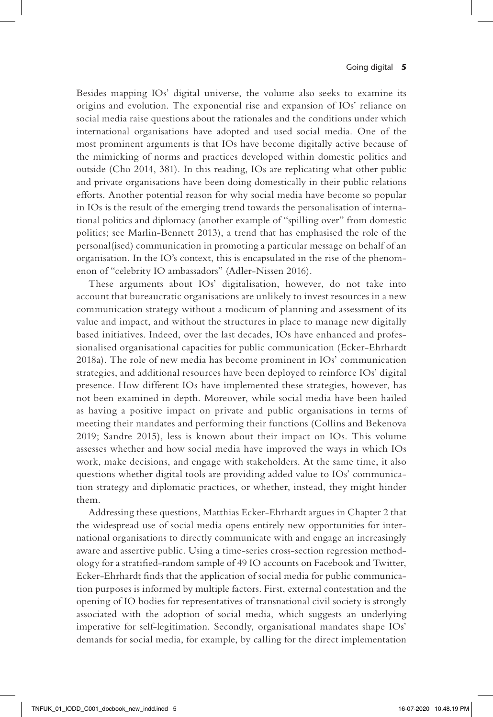Besides mapping IOs' digital universe, the volume also seeks to examine its origins and evolution. The exponential rise and expansion of IOs' reliance on social media raise questions about the rationales and the conditions under which international organisations have adopted and used social media. One of the most prominent arguments is that IOs have become digitally active because of the mimicking of norms and practices developed within domestic politics and outside (Cho 2014, 381). In this reading, IOs are replicating what other public and private organisations have been doing domestically in their public relations efforts. Another potential reason for why social media have become so popular in IOs is the result of the emerging trend towards the personalisation of international politics and diplomacy (another example of "spilling over" from domestic politics; see Marlin-Bennett 2013), a trend that has emphasised the role of the personal(ised) communication in promoting a particular message on behalf of an organisation. In the IO's context, this is encapsulated in the rise of the phenomenon of "celebrity IO ambassadors" (Adler-Nissen 2016).

These arguments about IOs' digitalisation, however, do not take into account that bureaucratic organisations are unlikely to invest resources in a new communication strategy without a modicum of planning and assessment of its value and impact, and without the structures in place to manage new digitally based initiatives. Indeed, over the last decades, IOs have enhanced and professionalised organisational capacities for public communication (Ecker-Ehrhardt 2018a). The role of new media has become prominent in IOs' communication strategies, and additional resources have been deployed to reinforce IOs' digital presence. How different IOs have implemented these strategies, however, has not been examined in depth. Moreover, while social media have been hailed as having a positive impact on private and public organisations in terms of meeting their mandates and performing their functions (Collins and Bekenova 2019; Sandre 2015), less is known about their impact on IOs. This volume assesses whether and how social media have improved the ways in which IOs work, make decisions, and engage with stakeholders. At the same time, it also questions whether digital tools are providing added value to IOs' communication strategy and diplomatic practices, or whether, instead, they might hinder them.

Addressing these questions, Matthias Ecker-Ehrhardt argues in Chapter 2 that the widespread use of social media opens entirely new opportunities for international organisations to directly communicate with and engage an increasingly aware and assertive public. Using a time-series cross-section regression methodology for a stratified-random sample of 49 IO accounts on Facebook and Twitter, Ecker-Ehrhardt finds that the application of social media for public communication purposes is informed by multiple factors. First, external contestation and the opening of IO bodies for representatives of transnational civil society is strongly associated with the adoption of social media, which suggests an underlying imperative for self-legitimation. Secondly, organisational mandates shape IOs' demands for social media, for example, by calling for the direct implementation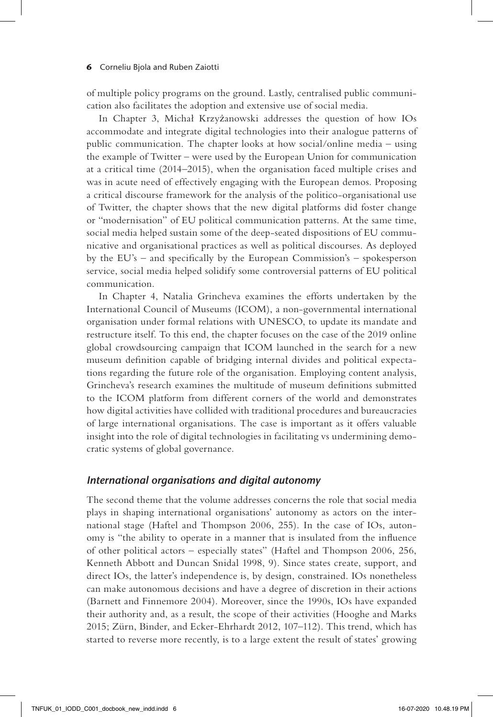of multiple policy programs on the ground. Lastly, centralised public communication also facilitates the adoption and extensive use of social media.

In Chapter 3, Michał Krzyżanowski addresses the question of how IOs accommodate and integrate digital technologies into their analogue patterns of public communication. The chapter looks at how social/online media – using the example of Twitter – were used by the European Union for communication at a critical time (2014–2015), when the organisation faced multiple crises and was in acute need of effectively engaging with the European demos. Proposing a critical discourse framework for the analysis of the politico-organisational use of Twitter, the chapter shows that the new digital platforms did foster change or "modernisation" of EU political communication patterns. At the same time, social media helped sustain some of the deep-seated dispositions of EU communicative and organisational practices as well as political discourses. As deployed by the EU's – and specifically by the European Commission's – spokesperson service, social media helped solidify some controversial patterns of EU political communication.

In Chapter 4, Natalia Grincheva examines the efforts undertaken by the International Council of Museums (ICOM), a non-governmental international organisation under formal relations with UNESCO, to update its mandate and restructure itself. To this end, the chapter focuses on the case of the 2019 online global crowdsourcing campaign that ICOM launched in the search for a new museum definition capable of bridging internal divides and political expectations regarding the future role of the organisation. Employing content analysis, Grincheva's research examines the multitude of museum definitions submitted to the ICOM platform from different corners of the world and demonstrates how digital activities have collided with traditional procedures and bureaucracies of large international organisations. The case is important as it offers valuable insight into the role of digital technologies in facilitating vs undermining democratic systems of global governance.

#### *International organisations and digital autonomy*

The second theme that the volume addresses concerns the role that social media plays in shaping international organisations' autonomy as actors on the international stage (Haftel and Thompson 2006, 255). In the case of IOs, autonomy is "the ability to operate in a manner that is insulated from the influence of other political actors – especially states" (Haftel and Thompson 2006, 256, Kenneth Abbott and Duncan Snidal 1998, 9). Since states create, support, and direct IOs, the latter's independence is, by design, constrained. IOs nonetheless can make autonomous decisions and have a degree of discretion in their actions (Barnett and Finnemore 2004). Moreover, since the 1990s, IOs have expanded their authority and, as a result, the scope of their activities (Hooghe and Marks 2015; Zürn, Binder, and Ecker-Ehrhardt 2012, 107–112). This trend, which has started to reverse more recently, is to a large extent the result of states' growing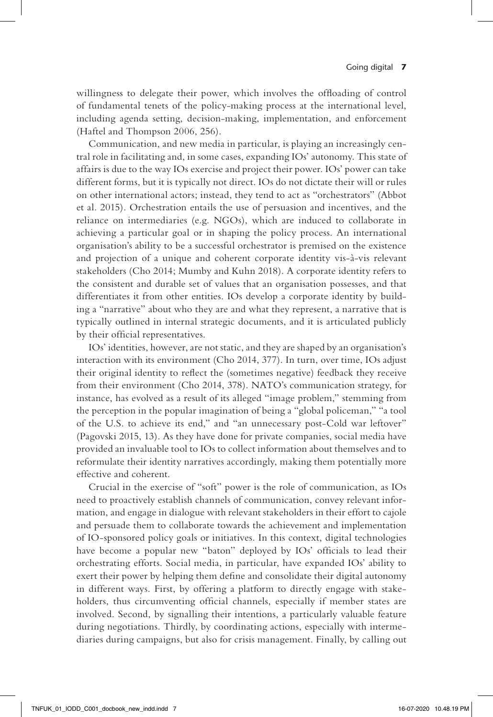willingness to delegate their power, which involves the offloading of control of fundamental tenets of the policy-making process at the international level, including agenda setting, decision-making, implementation, and enforcement (Haftel and Thompson 2006, 256).

Communication, and new media in particular, is playing an increasingly central role in facilitating and, in some cases, expanding IOs' autonomy. This state of affairs is due to the way IOs exercise and project their power. IOs' power can take different forms, but it is typically not direct. IOs do not dictate their will or rules on other international actors; instead, they tend to act as "orchestrators" (Abbot et al. 2015). Orchestration entails the use of persuasion and incentives, and the reliance on intermediaries (e.g. NGOs), which are induced to collaborate in achieving a particular goal or in shaping the policy process. An international organisation's ability to be a successful orchestrator is premised on the existence and projection of a unique and coherent corporate identity vis-à-vis relevant stakeholders (Cho 2014; Mumby and Kuhn 2018). A corporate identity refers to the consistent and durable set of values that an organisation possesses, and that differentiates it from other entities. IOs develop a corporate identity by building a "narrative" about who they are and what they represent, a narrative that is typically outlined in internal strategic documents, and it is articulated publicly by their official representatives.

IOs' identities, however, are not static, and they are shaped by an organisation's interaction with its environment (Cho 2014, 377). In turn, over time, IOs adjust their original identity to reflect the (sometimes negative) feedback they receive from their environment (Cho 2014, 378). NATO's communication strategy, for instance, has evolved as a result of its alleged "image problem," stemming from the perception in the popular imagination of being a "global policeman," "a tool of the U.S. to achieve its end," and "an unnecessary post-Cold war leftover" (Pagovski 2015, 13). As they have done for private companies, social media have provided an invaluable tool to IOs to collect information about themselves and to reformulate their identity narratives accordingly, making them potentially more effective and coherent.

Crucial in the exercise of "soft" power is the role of communication, as IOs need to proactively establish channels of communication, convey relevant information, and engage in dialogue with relevant stakeholders in their effort to cajole and persuade them to collaborate towards the achievement and implementation of IO-sponsored policy goals or initiatives. In this context, digital technologies have become a popular new "baton" deployed by IOs' officials to lead their orchestrating efforts. Social media, in particular, have expanded IOs' ability to exert their power by helping them define and consolidate their digital autonomy in different ways. First, by offering a platform to directly engage with stakeholders, thus circumventing official channels, especially if member states are involved. Second, by signalling their intentions, a particularly valuable feature during negotiations. Thirdly, by coordinating actions, especially with intermediaries during campaigns, but also for crisis management. Finally, by calling out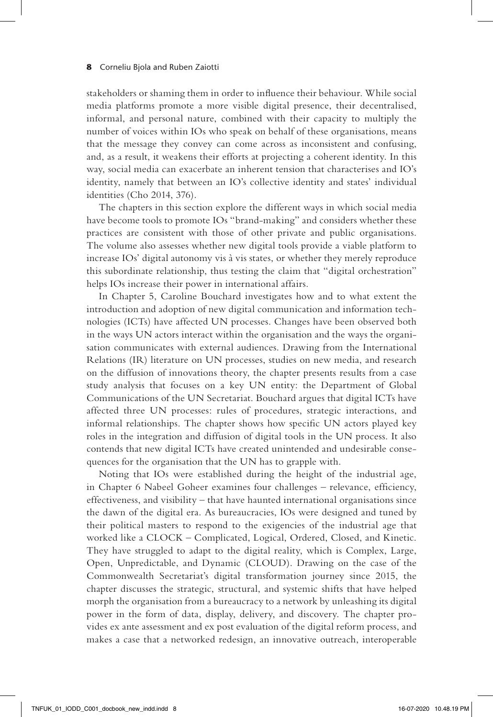stakeholders or shaming them in order to influence their behaviour. While social media platforms promote a more visible digital presence, their decentralised, informal, and personal nature, combined with their capacity to multiply the number of voices within IOs who speak on behalf of these organisations, means that the message they convey can come across as inconsistent and confusing, and, as a result, it weakens their efforts at projecting a coherent identity. In this way, social media can exacerbate an inherent tension that characterises and IO's identity, namely that between an IO's collective identity and states' individual identities (Cho 2014, 376).

The chapters in this section explore the different ways in which social media have become tools to promote IOs "brand-making" and considers whether these practices are consistent with those of other private and public organisations. The volume also assesses whether new digital tools provide a viable platform to increase IOs' digital autonomy vis à vis states, or whether they merely reproduce this subordinate relationship, thus testing the claim that "digital orchestration" helps IOs increase their power in international affairs.

In Chapter 5, Caroline Bouchard investigates how and to what extent the introduction and adoption of new digital communication and information technologies (ICTs) have affected UN processes. Changes have been observed both in the ways UN actors interact within the organisation and the ways the organisation communicates with external audiences. Drawing from the International Relations (IR) literature on UN processes, studies on new media, and research on the diffusion of innovations theory, the chapter presents results from a case study analysis that focuses on a key UN entity: the Department of Global Communications of the UN Secretariat. Bouchard argues that digital ICTs have affected three UN processes: rules of procedures, strategic interactions, and informal relationships. The chapter shows how specific UN actors played key roles in the integration and diffusion of digital tools in the UN process. It also contends that new digital ICTs have created unintended and undesirable consequences for the organisation that the UN has to grapple with.

Noting that IOs were established during the height of the industrial age, in Chapter 6 Nabeel Goheer examines four challenges – relevance, efficiency, effectiveness, and visibility – that have haunted international organisations since the dawn of the digital era. As bureaucracies, IOs were designed and tuned by their political masters to respond to the exigencies of the industrial age that worked like a CLOCK – Complicated, Logical, Ordered, Closed, and Kinetic. They have struggled to adapt to the digital reality, which is Complex, Large, Open, Unpredictable, and Dynamic (CLOUD). Drawing on the case of the Commonwealth Secretariat's digital transformation journey since 2015, the chapter discusses the strategic, structural, and systemic shifts that have helped morph the organisation from a bureaucracy to a network by unleashing its digital power in the form of data, display, delivery, and discovery. The chapter provides ex ante assessment and ex post evaluation of the digital reform process, and makes a case that a networked redesign, an innovative outreach, interoperable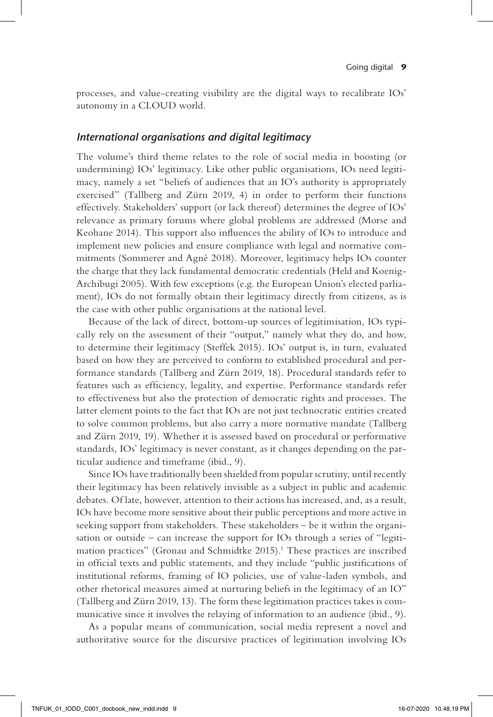processes, and value-creating visibility are the digital ways to recalibrate IOs' autonomy in a CLOUD world.

## *International organisations and digital legitimacy*

The volume's third theme relates to the role of social media in boosting (or undermining) IOs' legitimacy. Like other public organisations, IOs need legitimacy, namely a set "beliefs of audiences that an IO's authority is appropriately exercised" (Tallberg and Zürn 2019, 4) in order to perform their functions effectively. Stakeholders' support (or lack thereof) determines the degree of IOs' relevance as primary forums where global problems are addressed (Morse and Keohane 2014). This support also influences the ability of IOs to introduce and implement new policies and ensure compliance with legal and normative commitments (Sommerer and Agné 2018). Moreover, legitimacy helps IOs counter the charge that they lack fundamental democratic credentials (Held and Koenig-Archibugi 2005). With few exceptions (e.g. the European Union's elected parliament), IOs do not formally obtain their legitimacy directly from citizens, as is the case with other public organisations at the national level.

Because of the lack of direct, bottom-up sources of legitimisation, IOs typically rely on the assessment of their "output," namely what they do, and how, to determine their legitimacy (Steffek 2015). IOs' output is, in turn, evaluated based on how they are perceived to conform to established procedural and performance standards (Tallberg and Zürn 2019, 18). Procedural standards refer to features such as efficiency, legality, and expertise. Performance standards refer to effectiveness but also the protection of democratic rights and processes. The latter element points to the fact that IOs are not just technocratic entities created to solve common problems, but also carry a more normative mandate (Tallberg and Zürn 2019, 19). Whether it is assessed based on procedural or performative standards, IOs' legitimacy is never constant, as it changes depending on the particular audience and timeframe (ibid., 9).

Since IOs have traditionally been shielded from popular scrutiny, until recently their legitimacy has been relatively invisible as a subject in public and academic debates. Of late, however, attention to their actions has increased, and, as a result, IOs have become more sensitive about their public perceptions and more active in seeking support from stakeholders. These stakeholders – be it within the organisation or outside – can increase the support for IOs through a series of "legitimation practices" (Gronau and Schmidtke 2015).<sup>1</sup> These practices are inscribed in official texts and public statements, and they include "public justifications of institutional reforms, framing of IO policies, use of value-laden symbols, and other rhetorical measures aimed at nurturing beliefs in the legitimacy of an IO" (Tallberg and Zürn 2019, 13). The form these legitimation practices takes is communicative since it involves the relaying of information to an audience (ibid., 9).

As a popular means of communication, social media represent a novel and authoritative source for the discursive practices of legitimation involving IOs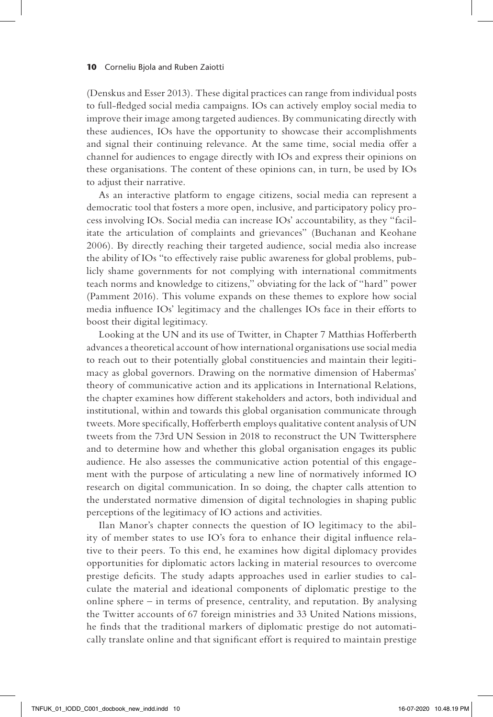(Denskus and Esser 2013). These digital practices can range from individual posts to full-fledged social media campaigns. IOs can actively employ social media to improve their image among targeted audiences. By communicating directly with these audiences, IOs have the opportunity to showcase their accomplishments and signal their continuing relevance. At the same time, social media offer a channel for audiences to engage directly with IOs and express their opinions on these organisations. The content of these opinions can, in turn, be used by IOs to adjust their narrative.

As an interactive platform to engage citizens, social media can represent a democratic tool that fosters a more open, inclusive, and participatory policy process involving IOs. Social media can increase IOs' accountability, as they "facilitate the articulation of complaints and grievances" (Buchanan and Keohane 2006). By directly reaching their targeted audience, social media also increase the ability of IOs "to effectively raise public awareness for global problems, publicly shame governments for not complying with international commitments teach norms and knowledge to citizens," obviating for the lack of "hard" power (Pamment 2016). This volume expands on these themes to explore how social media influence IOs' legitimacy and the challenges IOs face in their efforts to boost their digital legitimacy.

Looking at the UN and its use of Twitter, in Chapter 7 Matthias Hofferberth advances a theoretical account of how international organisations use social media to reach out to their potentially global constituencies and maintain their legitimacy as global governors. Drawing on the normative dimension of Habermas' theory of communicative action and its applications in International Relations, the chapter examines how different stakeholders and actors, both individual and institutional, within and towards this global organisation communicate through tweets. More specifically, Hofferberth employs qualitative content analysis of UN tweets from the 73rd UN Session in 2018 to reconstruct the UN Twittersphere and to determine how and whether this global organisation engages its public audience. He also assesses the communicative action potential of this engagement with the purpose of articulating a new line of normatively informed IO research on digital communication. In so doing, the chapter calls attention to the understated normative dimension of digital technologies in shaping public perceptions of the legitimacy of IO actions and activities.

Ilan Manor's chapter connects the question of IO legitimacy to the ability of member states to use IO's fora to enhance their digital influence relative to their peers. To this end, he examines how digital diplomacy provides opportunities for diplomatic actors lacking in material resources to overcome prestige deficits. The study adapts approaches used in earlier studies to calculate the material and ideational components of diplomatic prestige to the online sphere – in terms of presence, centrality, and reputation. By analysing the Twitter accounts of 67 foreign ministries and 33 United Nations missions, he finds that the traditional markers of diplomatic prestige do not automatically translate online and that significant effort is required to maintain prestige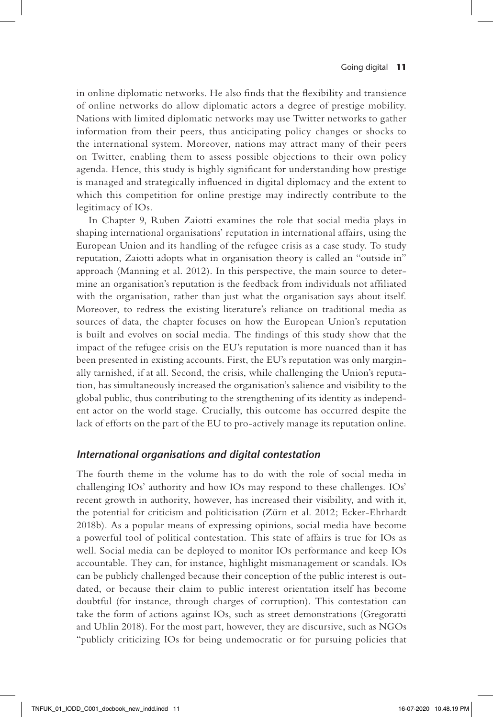in online diplomatic networks. He also finds that the flexibility and transience of online networks do allow diplomatic actors a degree of prestige mobility. Nations with limited diplomatic networks may use Twitter networks to gather information from their peers, thus anticipating policy changes or shocks to the international system. Moreover, nations may attract many of their peers on Twitter, enabling them to assess possible objections to their own policy agenda. Hence, this study is highly significant for understanding how prestige is managed and strategically influenced in digital diplomacy and the extent to which this competition for online prestige may indirectly contribute to the legitimacy of IOs.

In Chapter 9, Ruben Zaiotti examines the role that social media plays in shaping international organisations' reputation in international affairs, using the European Union and its handling of the refugee crisis as a case study. To study reputation, Zaiotti adopts what in organisation theory is called an "outside in" approach (Manning et al. 2012). In this perspective, the main source to determine an organisation's reputation is the feedback from individuals not affiliated with the organisation, rather than just what the organisation says about itself. Moreover, to redress the existing literature's reliance on traditional media as sources of data, the chapter focuses on how the European Union's reputation is built and evolves on social media. The findings of this study show that the impact of the refugee crisis on the EU's reputation is more nuanced than it has been presented in existing accounts. First, the EU's reputation was only marginally tarnished, if at all. Second, the crisis, while challenging the Union's reputation, has simultaneously increased the organisation's salience and visibility to the global public, thus contributing to the strengthening of its identity as independent actor on the world stage. Crucially, this outcome has occurred despite the lack of efforts on the part of the EU to pro-actively manage its reputation online.

#### *International organisations and digital contestation*

The fourth theme in the volume has to do with the role of social media in challenging IOs' authority and how IOs may respond to these challenges. IOs' recent growth in authority, however, has increased their visibility, and with it, the potential for criticism and politicisation (Zürn et al. 2012; Ecker-Ehrhardt 2018b). As a popular means of expressing opinions, social media have become a powerful tool of political contestation. This state of affairs is true for IOs as well. Social media can be deployed to monitor IOs performance and keep IOs accountable. They can, for instance, highlight mismanagement or scandals. IOs can be publicly challenged because their conception of the public interest is outdated, or because their claim to public interest orientation itself has become doubtful (for instance, through charges of corruption). This contestation can take the form of actions against IOs, such as street demonstrations (Gregoratti and Uhlin 2018). For the most part, however, they are discursive, such as NGOs "publicly criticizing IOs for being undemocratic or for pursuing policies that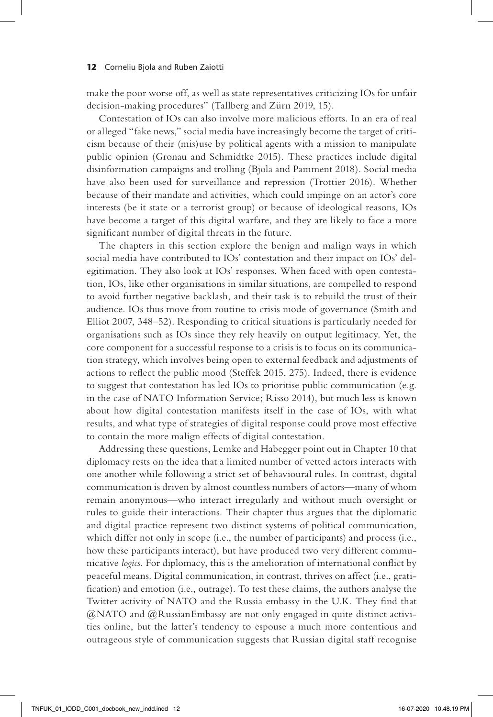make the poor worse off, as well as state representatives criticizing IOs for unfair decision-making procedures" (Tallberg and Zürn 2019, 15).

Contestation of IOs can also involve more malicious efforts. In an era of real or alleged "fake news," social media have increasingly become the target of criticism because of their (mis)use by political agents with a mission to manipulate public opinion (Gronau and Schmidtke 2015). These practices include digital disinformation campaigns and trolling (Bjola and Pamment 2018). Social media have also been used for surveillance and repression (Trottier 2016). Whether because of their mandate and activities, which could impinge on an actor's core interests (be it state or a terrorist group) or because of ideological reasons, IOs have become a target of this digital warfare, and they are likely to face a more significant number of digital threats in the future.

The chapters in this section explore the benign and malign ways in which social media have contributed to IOs' contestation and their impact on IOs' delegitimation. They also look at IOs' responses. When faced with open contestation, IOs, like other organisations in similar situations, are compelled to respond to avoid further negative backlash, and their task is to rebuild the trust of their audience. IOs thus move from routine to crisis mode of governance (Smith and Elliot 2007, 348–52). Responding to critical situations is particularly needed for organisations such as IOs since they rely heavily on output legitimacy. Yet, the core component for a successful response to a crisis is to focus on its communication strategy, which involves being open to external feedback and adjustments of actions to reflect the public mood (Steffek 2015, 275). Indeed, there is evidence to suggest that contestation has led IOs to prioritise public communication (e.g. in the case of NATO Information Service; Risso 2014), but much less is known about how digital contestation manifests itself in the case of IOs, with what results, and what type of strategies of digital response could prove most effective to contain the more malign effects of digital contestation.

Addressing these questions, Lemke and Habegger point out in Chapter 10 that diplomacy rests on the idea that a limited number of vetted actors interacts with one another while following a strict set of behavioural rules. In contrast, digital communication is driven by almost countless numbers of actors—many of whom remain anonymous—who interact irregularly and without much oversight or rules to guide their interactions. Their chapter thus argues that the diplomatic and digital practice represent two distinct systems of political communication, which differ not only in scope (i.e., the number of participants) and process (i.e., how these participants interact), but have produced two very different communicative *logics*. For diplomacy, this is the amelioration of international conflict by peaceful means. Digital communication, in contrast, thrives on affect (i.e., gratification) and emotion (i.e., outrage). To test these claims, the authors analyse the Twitter activity of NATO and the Russia embassy in the U.K. They find that @NATO and @RussianEmbassy are not only engaged in quite distinct activities online, but the latter's tendency to espouse a much more contentious and outrageous style of communication suggests that Russian digital staff recognise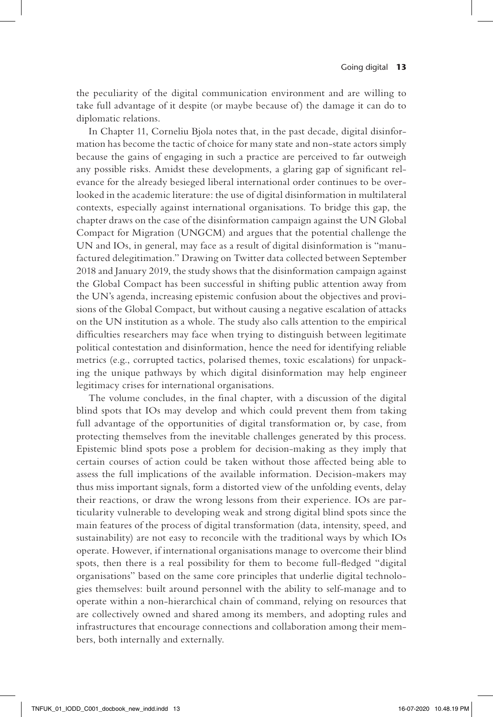the peculiarity of the digital communication environment and are willing to take full advantage of it despite (or maybe because of) the damage it can do to diplomatic relations.

In Chapter 11, Corneliu Bjola notes that, in the past decade, digital disinformation has become the tactic of choice for many state and non-state actors simply because the gains of engaging in such a practice are perceived to far outweigh any possible risks. Amidst these developments, a glaring gap of significant relevance for the already besieged liberal international order continues to be overlooked in the academic literature: the use of digital disinformation in multilateral contexts, especially against international organisations. To bridge this gap, the chapter draws on the case of the disinformation campaign against the UN Global Compact for Migration (UNGCM) and argues that the potential challenge the UN and IOs, in general, may face as a result of digital disinformation is "manufactured delegitimation." Drawing on Twitter data collected between September 2018 and January 2019, the study shows that the disinformation campaign against the Global Compact has been successful in shifting public attention away from the UN's agenda, increasing epistemic confusion about the objectives and provisions of the Global Compact, but without causing a negative escalation of attacks on the UN institution as a whole. The study also calls attention to the empirical difficulties researchers may face when trying to distinguish between legitimate political contestation and disinformation, hence the need for identifying reliable metrics (e.g., corrupted tactics, polarised themes, toxic escalations) for unpacking the unique pathways by which digital disinformation may help engineer legitimacy crises for international organisations.

The volume concludes, in the final chapter, with a discussion of the digital blind spots that IOs may develop and which could prevent them from taking full advantage of the opportunities of digital transformation or, by case, from protecting themselves from the inevitable challenges generated by this process. Epistemic blind spots pose a problem for decision-making as they imply that certain courses of action could be taken without those affected being able to assess the full implications of the available information. Decision-makers may thus miss important signals, form a distorted view of the unfolding events, delay their reactions, or draw the wrong lessons from their experience. IOs are particularity vulnerable to developing weak and strong digital blind spots since the main features of the process of digital transformation (data, intensity, speed, and sustainability) are not easy to reconcile with the traditional ways by which IOs operate. However, if international organisations manage to overcome their blind spots, then there is a real possibility for them to become full-fledged "digital organisations" based on the same core principles that underlie digital technologies themselves: built around personnel with the ability to self-manage and to operate within a non-hierarchical chain of command, relying on resources that are collectively owned and shared among its members, and adopting rules and infrastructures that encourage connections and collaboration among their members, both internally and externally.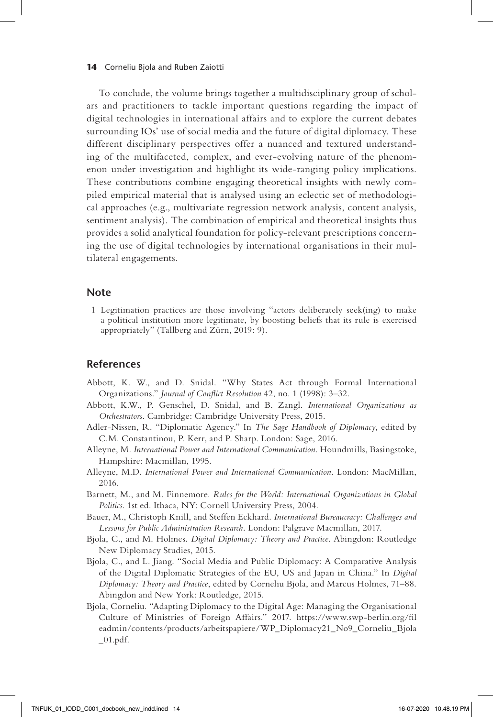To conclude, the volume brings together a multidisciplinary group of scholars and practitioners to tackle important questions regarding the impact of digital technologies in international affairs and to explore the current debates surrounding IOs' use of social media and the future of digital diplomacy. These different disciplinary perspectives offer a nuanced and textured understanding of the multifaceted, complex, and ever-evolving nature of the phenomenon under investigation and highlight its wide-ranging policy implications. These contributions combine engaging theoretical insights with newly compiled empirical material that is analysed using an eclectic set of methodological approaches (e.g., multivariate regression network analysis, content analysis, sentiment analysis). The combination of empirical and theoretical insights thus provides a solid analytical foundation for policy-relevant prescriptions concerning the use of digital technologies by international organisations in their multilateral engagements.

# **Note**

1 Legitimation practices are those involving "actors deliberately seek(ing) to make a political institution more legitimate, by boosting beliefs that its rule is exercised appropriately" (Tallberg and Zürn, 2019: 9).

#### **References**

- Abbott, K. W., and D. Snidal. "Why States Act through Formal International Organizations." *Journal of Conflict Resolution* 42, no. 1 (1998): 3–32.
- Abbott, K.W., P. Genschel, D. Snidal, and B. Zangl. *International Organizations as Orchestrators*. Cambridge: Cambridge University Press, 2015.
- Adler-Nissen, R. "Diplomatic Agency." In *The Sage Handbook of Diplomacy*, edited by C.M. Constantinou, P. Kerr, and P. Sharp. London: Sage, 2016.
- Alleyne, M. *International Power and International Communication*. Houndmills, Basingstoke, Hampshire: Macmillan, 1995.
- Alleyne, M.D. *International Power and International Communication*. London: MacMillan, 2016.
- Barnett, M., and M. Finnemore. *Rules for the World: International Organizations in Global Politics*. 1st ed. Ithaca, NY: Cornell University Press, 2004.
- Bauer, M., Christoph Knill, and Steffen Eckhard. *International Bureaucracy: Challenges and Lessons for Public Administration Research*. London: Palgrave Macmillan, 2017.
- Bjola, C., and M. Holmes. *Digital Diplomacy: Theory and Practice*. Abingdon: Routledge New Diplomacy Studies, 2015.
- Bjola, C., and L. Jiang. "Social Media and Public Diplomacy: A Comparative Analysis of the Digital Diplomatic Strategies of the EU, US and Japan in China." In *Digital Diplomacy: Theory and Practice*, edited by Corneliu Bjola, and Marcus Holmes, 71–88. Abingdon and New York: Routledge, 2015.
- Bjola, Corneliu. "Adapting Diplomacy to the Digital Age: Managing the Organisational Culture of Ministries of Foreign Affairs." 2017. https://www.swp-berlin.org/fil eadmin/contents/products/arbeitspapiere/WP\_Diplomacy21\_No9\_Corneliu\_Bjola \_01.pdf.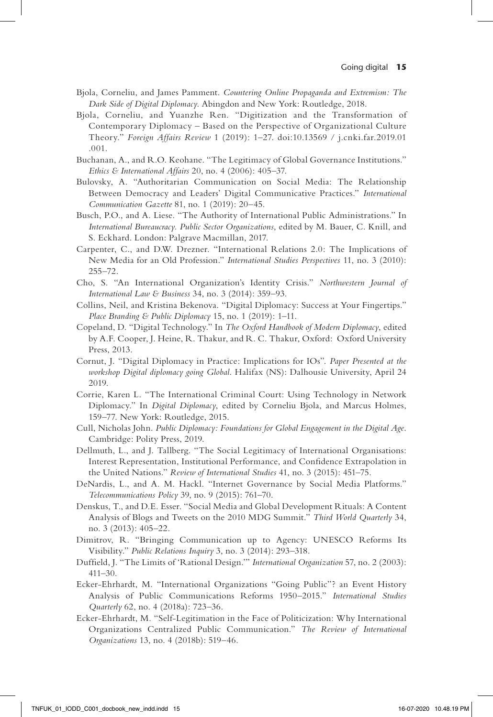- Bjola, Corneliu, and James Pamment. *Countering Online Propaganda and Extremism: The Dark Side of Digital Diplomacy*. Abingdon and New York: Routledge, 2018.
- Bjola, Corneliu, and Yuanzhe Ren. "Digitization and the Transformation of Contemporary Diplomacy – Based on the Perspective of Organizational Culture Theory." *Foreign Affairs Review* 1 (2019): 1–27. doi:10.13569 / j.cnki.far.2019.01 .001.
- Buchanan, A., and R.O. Keohane. "The Legitimacy of Global Governance Institutions." *Ethics & International Affairs* 20, no. 4 (2006): 405–37.
- Bulovsky, A. "Authoritarian Communication on Social Media: The Relationship Between Democracy and Leaders' Digital Communicative Practices." *International Communication Gazette* 81, no. 1 (2019): 20–45.
- Busch, P.O., and A. Liese. "The Authority of International Public Administrations." In *International Bureaucracy. Public Sector Organizations*, edited by M. Bauer, C. Knill, and S. Eckhard. London: Palgrave Macmillan, 2017.
- Carpenter, C., and D.W. Drezner. "International Relations 2.0: The Implications of New Media for an Old Profession." *International Studies Perspectives* 11, no. 3 (2010): 255–72.
- Cho, S. "An International Organization's Identity Crisis." *Northwestern Journal of International Law & Business* 34, no. 3 (2014): 359–93.
- Collins, Neil, and Kristina Bekenova. "Digital Diplomacy: Success at Your Fingertips." *Place Branding & Public Diplomacy* 15, no. 1 (2019): 1–11.
- Copeland, D. "Digital Technology." In *The Oxford Handbook of Modern Diplomacy*, edited by A.F. Cooper, J. Heine, R. Thakur, and R. C. Thakur, Oxford: Oxford University Press, 2013.
- Cornut, J. "Digital Diplomacy in Practice: Implications for IOs". *Paper Presented at the workshop Digital diplomacy going Global*. Halifax (NS): Dalhousie University, April 24 2019.
- Corrie, Karen L. "The International Criminal Court: Using Technology in Network Diplomacy." In *Digital Diplomacy*, edited by Corneliu Bjola, and Marcus Holmes, 159–77. New York: Routledge, 2015.
- Cull, Nicholas John. *Public Diplomacy: Foundations for Global Engagement in the Digital Age*. Cambridge: Polity Press, 2019.
- Dellmuth, L., and J. Tallberg. "The Social Legitimacy of International Organisations: Interest Representation, Institutional Performance, and Confidence Extrapolation in the United Nations." *Review of International Studies* 41, no. 3 (2015): 451–75.
- DeNardis, L., and A. M. Hackl. "Internet Governance by Social Media Platforms." *Telecommunications Policy* 39, no. 9 (2015): 761–70.
- Denskus, T., and D.E. Esser. "Social Media and Global Development Rituals: A Content Analysis of Blogs and Tweets on the 2010 MDG Summit." *Third World Quarterly* 34, no. 3 (2013): 405–22.
- Dimitrov, R. "Bringing Communication up to Agency: UNESCO Reforms Its Visibility." *Public Relations Inquiry* 3, no. 3 (2014): 293–318.
- Duffield, J. "The Limits of 'Rational Design.'" *International Organization* 57, no. 2 (2003): 411–30.
- Ecker-Ehrhardt, M. "International Organizations "Going Public"? an Event History Analysis of Public Communications Reforms 1950–2015." *International Studies Quarterly* 62, no. 4 (2018a): 723–36.
- Ecker-Ehrhardt, M. "Self-Legitimation in the Face of Politicization: Why International Organizations Centralized Public Communication." *The Review of International Organizations* 13, no. 4 (2018b): 519–46.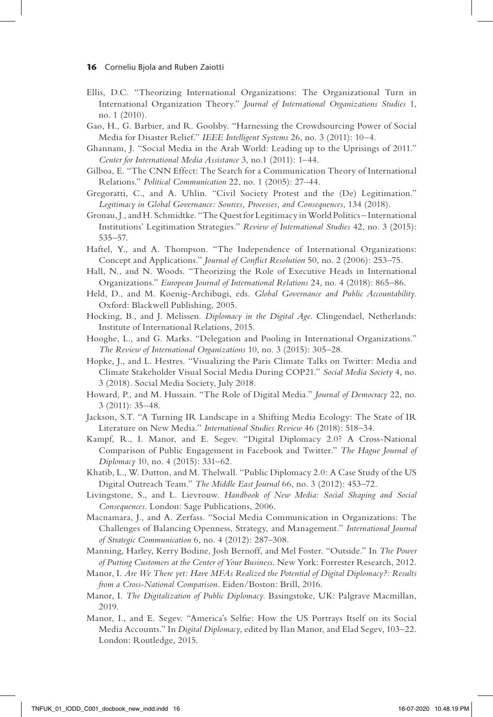- Ellis, D.C. "Theorizing International Organizations: The Organizational Turn in International Organization Theory." *Journal of International Organizations Studies* 1, no. 1 (2010).
- Gao, H., G. Barbier, and R. Goolsby. "Harnessing the Crowdsourcing Power of Social Media for Disaster Relief." *IEEE Intelligent Systems* 26, no. 3 (2011): 10–4.
- Ghannam, J. "Social Media in the Arab World: Leading up to the Uprisings of 2011." *Center for International Media Assistance* 3, no.1 (2011): 1–44.
- Gilboa, E. "The CNN Effect: The Search for a Communication Theory of International Relations." *Political Communication* 22, no. 1 (2005): 27–44.
- Gregoratti, C., and A. Uhlin. "Civil Society Protest and the (De) Legitimation." *Legitimacy in Global Governance: Sources, Processes, and Consequences*, 134 (2018).
- Gronau, J., and H. Schmidtke. "The Quest for Legitimacy in World Politics International Institutions' Legitimation Strategies." *Review of International Studies* 42, no. 3 (2015): 535–57.
- Haftel, Y., and A. Thompson. "The Independence of International Organizations: Concept and Applications." *Journal of Conflict Resolution* 50, no. 2 (2006): 253–75.
- Hall, N., and N. Woods. "Theorizing the Role of Executive Heads in International Organizations." *European Journal of International Relations* 24, no. 4 (2018): 865–86.
- Held, D., and M. Koenig-Archibugi, eds. *Global Governance and Public Accountability*. Oxford: Blackwell Publishing, 2005.
- Hocking, B., and J. Melissen. *Diplomacy in the Digital Age*. Clingendael, Netherlands: Institute of International Relations, 2015.
- Hooghe, L., and G. Marks. "Delegation and Pooling in International Organizations." *The Review of International Organizations* 10, no. 3 (2015): 305–28.
- Hopke, J., and L. Hestres. "Visualizing the Paris Climate Talks on Twitter: Media and Climate Stakeholder Visual Social Media During COP21." *Social Media Society* 4, no. 3 (2018). Social Media Society, July 2018.
- Howard, P., and M. Hussain. "The Role of Digital Media." *Journal of Democracy* 22, no. 3 (2011): 35–48.
- Jackson, S.T. "A Turning IR Landscape in a Shifting Media Ecology: The State of IR Literature on New Media." *International Studies Review* 46 (2018): 518–34.
- Kampf, R., I. Manor, and E. Segev. "Digital Diplomacy 2.0? A Cross-National Comparison of Public Engagement in Facebook and Twitter." *The Hague Journal of Diplomacy* 10, no. 4 (2015): 331–62.
- Khatib, L., W. Dutton, and M. Thelwall. "Public Diplomacy 2.0: A Case Study of the US Digital Outreach Team." *The Middle East Journal* 66, no. 3 (2012): 453–72.
- Livingstone, S., and L. Lievrouw. *Handbook of New Media: Social Shaping and Social Consequences*. London: Sage Publications, 2006.
- Macnamara, J., and A. Zerfass. "Social Media Communication in Organizations: The Challenges of Balancing Openness, Strategy, and Management." *International Journal of Strategic Communication* 6, no. 4 (2012): 287–308.
- Manning, Harley, Kerry Bodine, Josh Bernoff, and Mel Foster. "Outside." In *The Power of Putting Customers at the Center of Your Business*. New York: Forrester Research, 2012.
- Manor, I. *Are We There yet: Have MFAs Realized the Potential of Digital Diplomacy?: Results from a Cross-National Comparison*. Eiden/Boston: Brill, 2016.
- Manor, I. *The Digitalization of Public Diplomacy*. Basingstoke, UK: Palgrave Macmillan, 2019.
- Manor, I., and E. Segev. "America's Selfie: How the US Portrays Itself on its Social Media Accounts." In *Digital Diplomacy*, edited by Ilan Manor, and Elad Segev, 103–22. London: Routledge, 2015.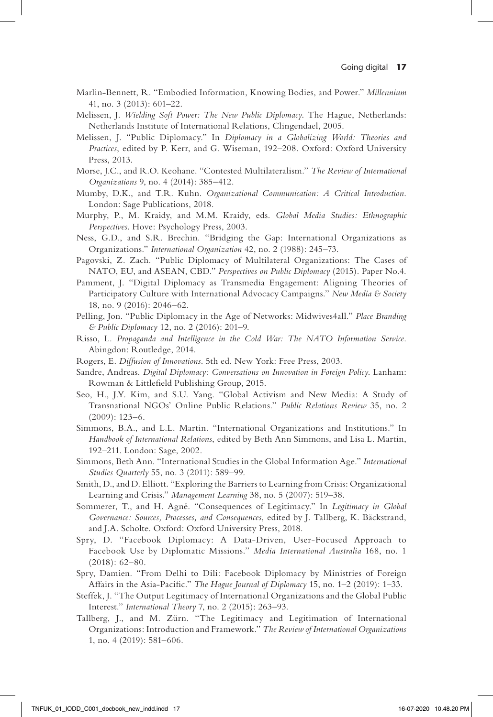- Marlin-Bennett, R. "Embodied Information, Knowing Bodies, and Power." *Millennium* 41, no. 3 (2013): 601–22.
- Melissen, J. *Wielding Soft Power: The New Public Diplomacy*. The Hague, Netherlands: Netherlands Institute of International Relations, Clingendael, 2005.
- Melissen, J. "Public Diplomacy." In *Diplomacy in a Globalizing World: Theories and Practices*, edited by P. Kerr, and G. Wiseman, 192–208. Oxford: Oxford University Press, 2013.
- Morse, J.C., and R.O. Keohane. "Contested Multilateralism." *The Review of International Organizations* 9, no. 4 (2014): 385–412.
- Mumby, D.K., and T.R. Kuhn. *Organizational Communication: A Critical Introduction*. London: Sage Publications, 2018.
- Murphy, P., M. Kraidy, and M.M. Kraidy, eds. *Global Media Studies: Ethnographic Perspectives*. Hove: Psychology Press, 2003.
- Ness, G.D., and S.R. Brechin. "Bridging the Gap: International Organizations as Organizations." *International Organization* 42, no. 2 (1988): 245–73.
- Pagovski, Z. Zach. "Public Diplomacy of Multilateral Organizations: The Cases of NATO, EU, and ASEAN, CBD." *Perspectives on Public Diplomacy* (2015). Paper No.4.
- Pamment, J. "Digital Diplomacy as Transmedia Engagement: Aligning Theories of Participatory Culture with International Advocacy Campaigns." *New Media & Society* 18, no. 9 (2016): 2046–62.
- Pelling, Jon. "Public Diplomacy in the Age of Networks: Midwives4all." *Place Branding & Public Diplomacy* 12, no. 2 (2016): 201–9.
- Risso, L. *Propaganda and Intelligence in the Cold War: The NATO Information Service*. Abingdon: Routledge, 2014.
- Rogers, E. *Diffusion of Innovations*. 5th ed. New York: Free Press, 2003.
- Sandre, Andreas. *Digital Diplomacy: Conversations on Innovation in Foreign Policy*. Lanham: Rowman & Littlefield Publishing Group, 2015.
- Seo, H., J.Y. Kim, and S.U. Yang. "Global Activism and New Media: A Study of Transnational NGOs' Online Public Relations." *Public Relations Review* 35, no. 2 (2009): 123–6.
- Simmons, B.A., and L.L. Martin. "International Organizations and Institutions." In *Handbook of International Relations*, edited by Beth Ann Simmons, and Lisa L. Martin, 192–211. London: Sage, 2002.
- Simmons, Beth Ann. "International Studies in the Global Information Age." *International Studies Quarterly* 55, no. 3 (2011): 589–99.
- Smith, D., and D. Elliott. "Exploring the Barriers to Learning from Crisis: Organizational Learning and Crisis." *Management Learning* 38, no. 5 (2007): 519–38.
- Sommerer, T., and H. Agné. "Consequences of Legitimacy." In *Legitimacy in Global Governance: Sources, Processes, and Consequences*, edited by J. Tallberg, K. Bäckstrand, and J.A. Scholte. Oxford: Oxford University Press, 2018.
- Spry, D. "Facebook Diplomacy: A Data-Driven, User-Focused Approach to Facebook Use by Diplomatic Missions." *Media International Australia* 168, no. 1 (2018): 62–80.
- Spry, Damien. "From Delhi to Dili: Facebook Diplomacy by Ministries of Foreign Affairs in the Asia-Pacific." *The Hague Journal of Diplomacy* 15, no. 1–2 (2019): 1–33.
- Steffek, J. "The Output Legitimacy of International Organizations and the Global Public Interest." *International Theory* 7, no. 2 (2015): 263–93.
- Tallberg, J., and M. Zürn. "The Legitimacy and Legitimation of International Organizations: Introduction and Framework." *The Review of International Organizations* 1, no. 4 (2019): 581–606.